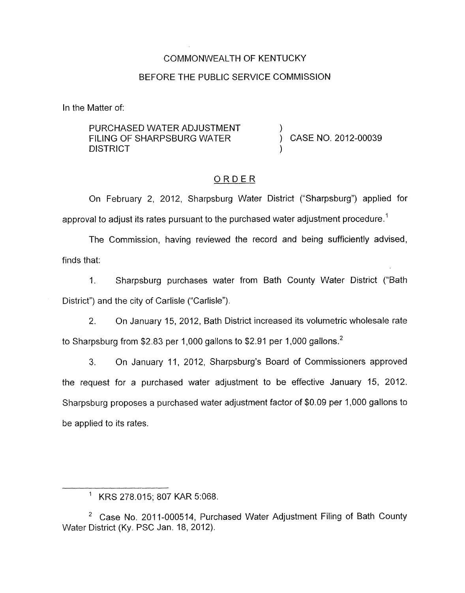## COMMONWEALTH OF KENTUCKY

## BEFORE THE PUBLIC SERVICE COMMISSION

In the Matter of:

PURCHASED WATER ADJUSTMENT FILING OF SHARPSBURG WATER  $\overrightarrow{)}$  CASE NO. 2012-00039 **DISTRICT** 

# ORDER

On February 2, 2012, Sharpsburg Water District ("Sharpsburg") applied for approval to adjust its rates pursuant to the purchased water adjustment procedure.<sup>1</sup>

The Commission, having reviewed the record and being sufficiently advised, finds that:

1. Sharpsburg purchases water from Bath County Water District ("Bath District") and the city of Carlisle ("Carlisle").

2. On January 15, 2012, Bath District increased its volumetric wholesale rate to Sharpsburg from \$2.83 per 1,000 gallons to \$2.91 per 1,000 gallons.<sup>2</sup>

**3.** On January 11, 2012, Sharpsburg's Board of Commissioners approved the request for a purchased water adjustment to be effective January 15, 2012. Sharpsburg proposes a purchased water adjustment factor of \$0.09 per 1,000 gallons to be applied to its rates.

<sup>&#</sup>x27; KRS 278.015; 807 KAR 5:068.

 $2$  Case No. 2011-000514, Purchased Water Adjustment Filing of Bath County Water District (Ky. PSC Jan. 18, 2012).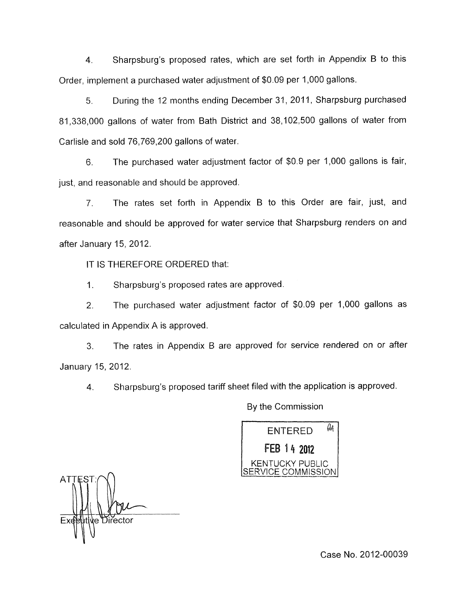4. Sharpsburg's proposed rates, which are set forth in Appendix B to this Order, implement a purchased water adjustment of \$0.09 per 1,000 gallons.

*5.* During the 12 months ending December 31, 2011, Sharpsburg purchased 81,338,000 gallons of water from Bath District and 38,102,500 gallons of water from Carlisle and sold 76,769,200 gallons of water.

6. The purchased water adjustment factor of \$0.9 per 1,000 gallons is fair, just, and reasonable and should be approved.

7. The rates set forth in Appendix B to this Order are fair, just, and reasonable and should be approved for water service that Sharpsburg renders on and after January 15, 2012.

IT IS THEREFORE ORDERED that:

1. Sharpsburg's proposed rates are approved.

2. The purchased water adjustment factor of \$0.09 per 1,000 gallons as calculated in Appendix A is approved.

3. The rates in Appendix B are approved for service rendered on or after January 15, 2012.

4. Sharpsburg's proposed tariff sheet filed with the application is approved.

By the Commission



h Director

Case No. 2012-00039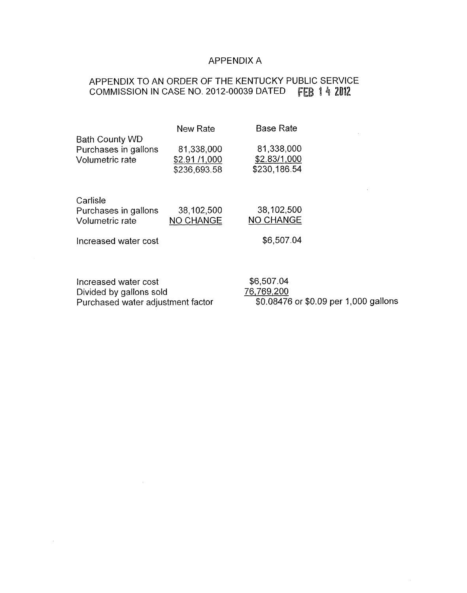# APPENDIX A

# APPENDIX TO AN ORDER OF THE KENTUCKY PUBLIC SERVICE COMMISSION IN CASE NO. 2012-00039 DATED **FEB 1 4 2012**

|                                                                  | New Rate                                    | <b>Base Rate</b>                           |  |
|------------------------------------------------------------------|---------------------------------------------|--------------------------------------------|--|
| <b>Bath County WD</b><br>Purchases in gallons<br>Volumetric rate | 81,338,000<br>\$2.91 /1,000<br>\$236,693.58 | 81,338,000<br>\$2.83/1,000<br>\$230,186.54 |  |
| Carlisle<br>Purchases in gallons<br>Volumetric rate              | 38,102,500<br><b>NO CHANGE</b>              | 38,102,500<br><b>NO CHANGE</b>             |  |
| Increased water cost                                             |                                             | \$6,507.04                                 |  |
|                                                                  |                                             |                                            |  |
| Increased water cost<br>Divided by gallons sold                  |                                             | \$6,507.04<br>76,769,200                   |  |

Purchased water adjustment factor

 $\sim 10^{11}$  km s  $^{-1}$ 

\$0.08476 or \$0.09 per 1,000 gallons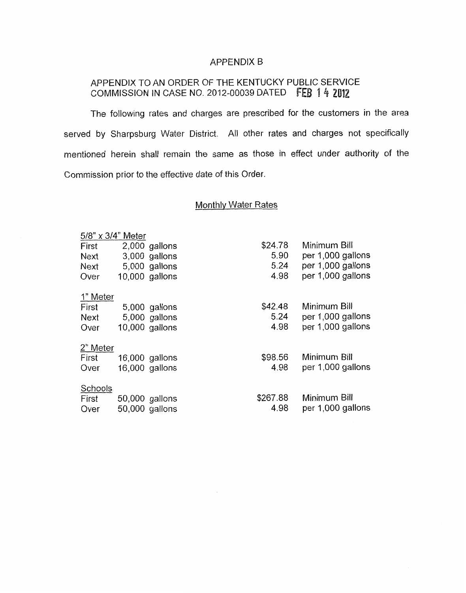#### APPENDIX B

# APPENDIX TO AN ORDER OF THE KENTUCKY PUBLIC SERVICE COMMISSION IN CASE NO. 2012-00039 DATED FEB 1 4 2012

The following rates and charges are prescribed for the customers in the area served by Sharpsburg Water District. All other rates and charges not specifically mentioned herein shall remain the same as those in effect under authority of the Commission prior to the effective date of this Order.

### Monthly Water Rates

| 5/8" x 3/4" Meter |                  |          |                   |
|-------------------|------------------|----------|-------------------|
| First             | 2,000 gallons    | \$24.78  | Minimum Bill      |
| <b>Next</b>       | $3,000$ gallons  | 5.90     | per 1,000 gallons |
| <b>Next</b>       | 5,000 gallons    | 5.24     | per 1,000 gallons |
| Over              | $10,000$ gallons | 4.98     | per 1,000 gallons |
| 1" Meter          |                  |          |                   |
| First             | 5,000 gallons    | \$42.48  | Minimum Bill      |
| Next              | 5,000 gallons    | 5.24     | per 1,000 gallons |
| Over              | $10,000$ gallons | 4.98     | per 1,000 gallons |
| 2" Meter          |                  |          |                   |
| First             | 16,000 gallons   | \$98.56  | Minimum Bill      |
| Over              | 16,000 gallons   | 4.98     | per 1,000 gallons |
| Schools           |                  |          |                   |
| First             | 50,000 gallons   | \$267.88 | Minimum Bill      |
| Over              | 50,000 gallons   | 4.98     | per 1,000 gallons |
|                   |                  |          |                   |